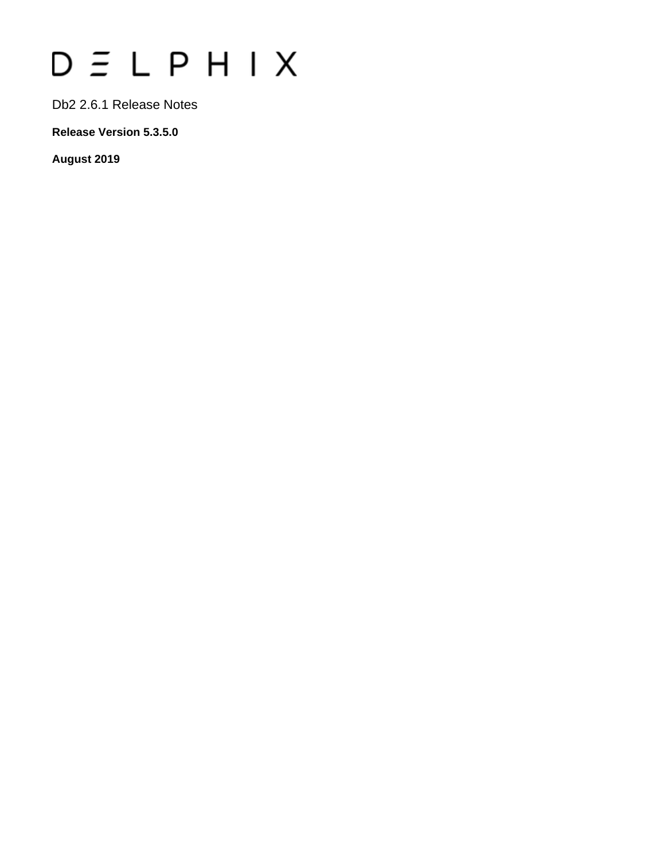# $D \subseteq L$   $P$   $H$   $I$   $X$

Db2 2.6.1 Release Notes

**Release Version 5.3.5.0**

**August 2019**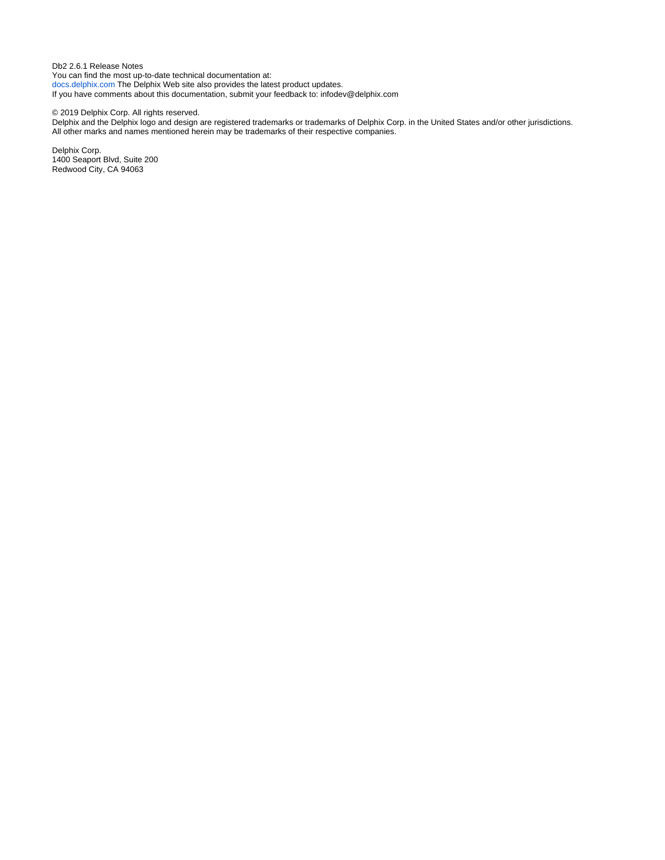Db2 2.6.1 Release Notes You can find the most up-to-date technical documentation at: [docs.delphix.com](http://docs.delphix.com) The Delphix Web site also provides the latest product updates. If you have comments about this documentation, submit your feedback to: infodev@delphix.com

© 2019 Delphix Corp. All rights reserved.

Delphix and the Delphix logo and design are registered trademarks or trademarks of Delphix Corp. in the United States and/or other jurisdictions. All other marks and names mentioned herein may be trademarks of their respective companies.

Delphix Corp. 1400 Seaport Blvd, Suite 200 Redwood City, CA 94063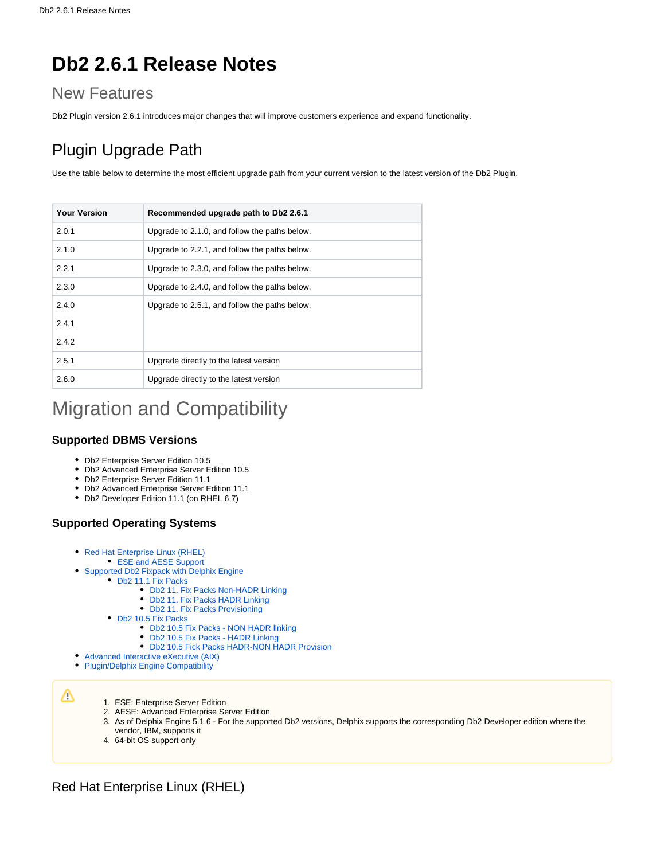# **Db2 2.6.1 Release Notes**

# New Features

Db2 Plugin version 2.6.1 introduces major changes that will improve customers experience and expand functionality.

# Plugin Upgrade Path

Use the table below to determine the most efficient upgrade path from your current version to the latest version of the Db2 Plugin.

| <b>Your Version</b> | Recommended upgrade path to Db2 2.6.1         |
|---------------------|-----------------------------------------------|
| 2.0.1               | Upgrade to 2.1.0, and follow the paths below. |
| 2.1.0               | Upgrade to 2.2.1, and follow the paths below. |
| 2.2.1               | Upgrade to 2.3.0, and follow the paths below. |
| 2.3.0               | Upgrade to 2.4.0, and follow the paths below. |
| 2.4.0               | Upgrade to 2.5.1, and follow the paths below. |
| 2.4.1               |                                               |
| 2.4.2               |                                               |
| 2.5.1               | Upgrade directly to the latest version        |
| 2.6.0               | Upgrade directly to the latest version        |

# Migration and Compatibility

#### **Supported DBMS Versions**

- Db2 Enterprise Server Edition 10.5
- $\bullet$ Db2 Advanced Enterprise Server Edition 10.5
- Db2 Enterprise Server Edition 11.1
- Db2 Advanced Enterprise Server Edition 11.1
- Db2 Developer Edition 11.1 (on RHEL 6.7)

#### **Supported Operating Systems**

- Red Hat Enterprise Linux (RHEL)
	- [ESE and AESE Support](#page-2-1)
- [Supported Db2 Fixpack with Delphix Engine](#page-3-0)
	- Db2 11.1 Fix Packs
		- [Db2 11. Fix Packs Non-HADR Linking](#page-3-2)
		- [Db2 11. Fix Packs HADR Linking](#page-3-3)
		- [Db2 11. Fix Packs Provisioning](#page-3-4)
		- [Db2 10.5 Fix Packs](#page-3-5)
			- [Db2 10.5 Fix Packs NON HADR linking](#page-4-0)
			- [Db2 10.5 Fix Packs HADR Linking](#page-4-1)
			- [Db2 10.5 Fick Packs HADR-NON HADR Provision](#page-4-2)
- [Advanced Interactive eXecutive \(AIX\)](#page-4-3)
- [Plugin/Delphix Engine Compatibility](#page-4-4)

Δ

- 1. ESE: Enterprise Server Edition
- 2. AESE: Advanced Enterprise Server Edition
- 3. As of Delphix Engine 5.1.6 For the supported Db2 versions, Delphix supports the corresponding Db2 Developer edition where the vendor, IBM, supports it
- 4. 64-bit OS support only

<span id="page-2-1"></span><span id="page-2-0"></span>Red Hat Enterprise Linux (RHEL)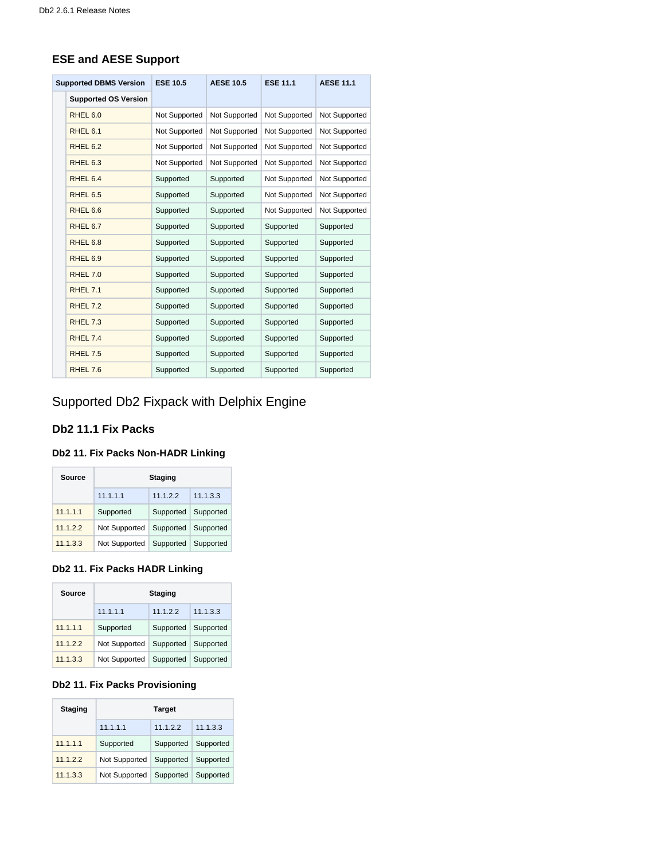#### **ESE and AESE Support**

| <b>Supported DBMS Version</b> |                             | <b>ESE 10.5</b> | <b>AESE 10.5</b> | <b>ESE 11.1</b> | <b>AESE 11.1</b> |  |
|-------------------------------|-----------------------------|-----------------|------------------|-----------------|------------------|--|
|                               | <b>Supported OS Version</b> |                 |                  |                 |                  |  |
|                               | RHEL <sub>6.0</sub>         | Not Supported   | Not Supported    | Not Supported   | Not Supported    |  |
|                               | RHEL <sub>6.1</sub>         | Not Supported   | Not Supported    | Not Supported   | Not Supported    |  |
|                               | RHEL <sub>6.2</sub>         | Not Supported   | Not Supported    | Not Supported   | Not Supported    |  |
|                               | RHEL <sub>6.3</sub>         | Not Supported   | Not Supported    | Not Supported   | Not Supported    |  |
|                               | RHEL <sub>6.4</sub>         | Supported       | Supported        | Not Supported   | Not Supported    |  |
|                               | RHEL <sub>6.5</sub>         | Supported       | Supported        | Not Supported   | Not Supported    |  |
|                               | RHEL <sub>6.6</sub>         | Supported       | Supported        | Not Supported   | Not Supported    |  |
|                               | RHEL <sub>6.7</sub>         | Supported       | Supported        | Supported       | Supported        |  |
|                               | RHEL <sub>6.8</sub>         | Supported       | Supported        | Supported       | Supported        |  |
|                               | RHEL <sub>6.9</sub>         | Supported       | Supported        | Supported       | Supported        |  |
|                               | <b>RHEL 7.0</b>             | Supported       | Supported        | Supported       | Supported        |  |
|                               | RHEL 7.1                    | Supported       | Supported        | Supported       | Supported        |  |
|                               | <b>RHEL 7.2</b>             | Supported       | Supported        | Supported       | Supported        |  |
|                               | RHEL 7.3                    | Supported       | Supported        | Supported       | Supported        |  |
|                               | RHEL 7.4                    | Supported       | Supported        | Supported       | Supported        |  |
|                               | <b>RHEL 7.5</b>             | Supported       | Supported        | Supported       | Supported        |  |
|                               | <b>RHEL 7.6</b>             | Supported       | Supported        | Supported       | Supported        |  |

# <span id="page-3-0"></span>Supported Db2 Fixpack with Delphix Engine

#### <span id="page-3-1"></span>**Db2 11.1 Fix Packs**

#### <span id="page-3-2"></span>**Db2 11. Fix Packs Non-HADR Linking**

| Source   | <b>Staging</b> |           |           |  |  |  |  |  |  |
|----------|----------------|-----------|-----------|--|--|--|--|--|--|
|          | 11.1.1.1       | 11.1.2.2  | 11.1.3.3  |  |  |  |  |  |  |
| 11.1.1.1 | Supported      | Supported | Supported |  |  |  |  |  |  |
| 11122    | Not Supported  | Supported | Supported |  |  |  |  |  |  |
| 11.1.3.3 | Not Supported  | Supported | Supported |  |  |  |  |  |  |

#### <span id="page-3-3"></span>**Db2 11. Fix Packs HADR Linking**

| Source   | <b>Staging</b> |           |           |  |  |  |  |  |  |
|----------|----------------|-----------|-----------|--|--|--|--|--|--|
|          | 11.1.1.1       | 11.1.2.2  | 11.1.3.3  |  |  |  |  |  |  |
| 11.1.1.1 | Supported      | Supported | Supported |  |  |  |  |  |  |
| 11.1.2.2 | Not Supported  | Supported | Supported |  |  |  |  |  |  |
| 11.1.3.3 | Not Supported  | Supported | Supported |  |  |  |  |  |  |

#### <span id="page-3-4"></span>**Db2 11. Fix Packs Provisioning**

<span id="page-3-5"></span>

| <b>Staging</b> | <b>Target</b> |           |           |  |  |  |  |  |  |
|----------------|---------------|-----------|-----------|--|--|--|--|--|--|
|                | 11.1.1.1      | 11.1.2.2  | 11.1.3.3  |  |  |  |  |  |  |
| 11.1.1.1       | Supported     | Supported | Supported |  |  |  |  |  |  |
| 11.1.2.2       | Not Supported | Supported | Supported |  |  |  |  |  |  |
| 11.1.3.3       | Not Supported | Supported | Supported |  |  |  |  |  |  |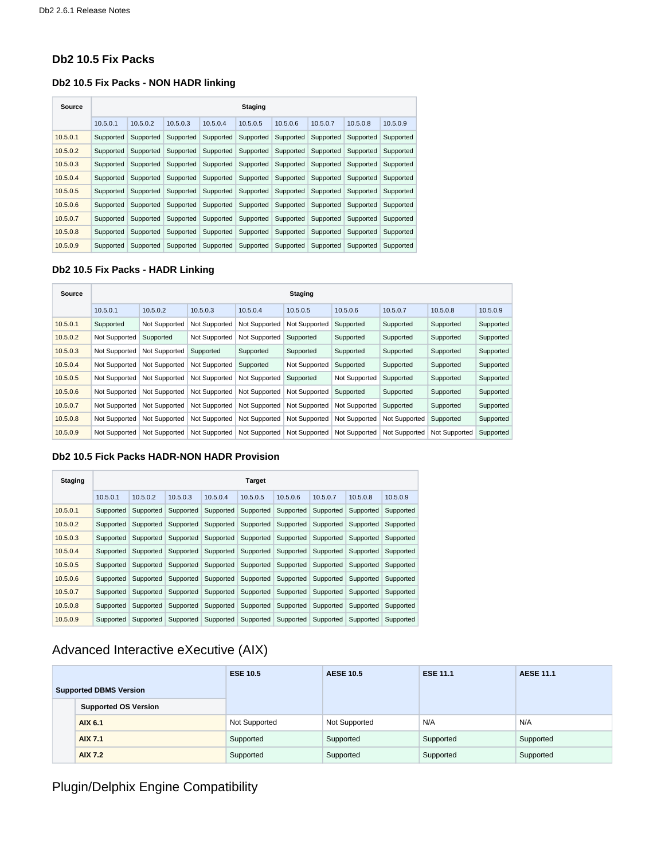#### **Db2 10.5 Fix Packs**

#### <span id="page-4-0"></span>**Db2 10.5 Fix Packs - NON HADR linking**

| Source   |           |           |           |           | <b>Staging</b> |           |           |           |           |  |
|----------|-----------|-----------|-----------|-----------|----------------|-----------|-----------|-----------|-----------|--|
|          | 10.5.0.1  | 10.5.0.2  | 10.5.0.3  | 10.5.0.4  | 10.5.0.5       | 10.5.0.6  | 10.5.0.7  | 10.5.0.8  | 10.5.0.9  |  |
| 10.5.0.1 | Supported | Supported | Supported | Supported | Supported      | Supported | Supported | Supported | Supported |  |
| 10.5.0.2 | Supported | Supported | Supported | Supported | Supported      | Supported | Supported | Supported | Supported |  |
| 10.5.0.3 | Supported | Supported | Supported | Supported | Supported      | Supported | Supported | Supported | Supported |  |
| 10.5.0.4 | Supported | Supported | Supported | Supported | Supported      | Supported | Supported | Supported | Supported |  |
| 10.5.0.5 | Supported | Supported | Supported | Supported | Supported      | Supported | Supported | Supported | Supported |  |
| 10.5.0.6 | Supported | Supported | Supported | Supported | Supported      | Supported | Supported | Supported | Supported |  |
| 10.5.0.7 | Supported | Supported | Supported | Supported | Supported      | Supported | Supported | Supported | Supported |  |
| 10.5.0.8 | Supported | Supported | Supported | Supported | Supported      | Supported | Supported | Supported | Supported |  |
| 10.5.0.9 | Supported | Supported | Supported | Supported | Supported      | Supported | Supported | Supported | Supported |  |

#### <span id="page-4-1"></span>**Db2 10.5 Fix Packs - HADR Linking**

| Source   |               |               |               |               | <b>Staging</b> |               |               |               |           |  |
|----------|---------------|---------------|---------------|---------------|----------------|---------------|---------------|---------------|-----------|--|
|          | 10.5.0.1      | 10.5.0.2      | 10.5.0.3      | 10.5.0.4      | 10.5.0.5       | 10.5.0.6      | 10.5.0.7      | 10.5.0.8      | 10.5.0.9  |  |
| 10.5.0.1 | Supported     | Not Supported | Not Supported | Not Supported | Not Supported  | Supported     | Supported     | Supported     | Supported |  |
| 10.5.0.2 | Not Supported | Supported     | Not Supported | Not Supported | Supported      | Supported     | Supported     | Supported     | Supported |  |
| 10.5.0.3 | Not Supported | Not Supported | Supported     | Supported     | Supported      | Supported     | Supported     | Supported     | Supported |  |
| 10.5.0.4 | Not Supported | Not Supported | Not Supported | Supported     | Not Supported  | Supported     | Supported     | Supported     | Supported |  |
| 10.5.0.5 | Not Supported | Not Supported | Not Supported | Not Supported | Supported      | Not Supported | Supported     | Supported     | Supported |  |
| 10.5.0.6 | Not Supported | Not Supported | Not Supported | Not Supported | Not Supported  | Supported     | Supported     | Supported     | Supported |  |
| 10.5.0.7 | Not Supported | Not Supported | Not Supported | Not Supported | Not Supported  | Not Supported | Supported     | Supported     | Supported |  |
| 10.5.0.8 | Not Supported | Not Supported | Not Supported | Not Supported | Not Supported  | Not Supported | Not Supported | Supported     | Supported |  |
| 10.5.0.9 | Not Supported | Not Supported | Not Supported | Not Supported | Not Supported  | Not Supported | Not Supported | Not Supported | Supported |  |

#### <span id="page-4-2"></span>**Db2 10.5 Fick Packs HADR-NON HADR Provision**

| <b>Staging</b> |           |           |           |           | <b>Target</b> |                     |           |           |           |  |
|----------------|-----------|-----------|-----------|-----------|---------------|---------------------|-----------|-----------|-----------|--|
|                | 10.5.0.1  | 10.5.0.2  | 10.5.0.3  | 10.5.0.4  | 10.5.0.5      | 10.5.0.6            | 10.5.0.7  | 10.5.0.8  | 10.5.0.9  |  |
| 10.5.0.1       | Supported | Supported | Supported | Supported | Supported     | Supported           | Supported | Supported | Supported |  |
| 10.5.0.2       | Supported | Supported | Supported | Supported | Supported     | Supported           | Supported | Supported | Supported |  |
| 10.5.0.3       | Supported | Supported | Supported | Supported | Supported     | Supported           | Supported | Supported | Supported |  |
| 10.5.0.4       | Supported | Supported | Supported | Supported | Supported     | Supported           | Supported | Supported | Supported |  |
| 10.5.0.5       | Supported | Supported | Supported | Supported | Supported     | Supported           | Supported | Supported | Supported |  |
| 10.5.0.6       | Supported | Supported | Supported | Supported | Supported     | Supported           | Supported | Supported | Supported |  |
| 10.5.0.7       | Supported | Supported | Supported | Supported | Supported     | Supported           | Supported | Supported | Supported |  |
| 10.5.0.8       | Supported | Supported | Supported | Supported | Supported     | Supported           | Supported | Supported | Supported |  |
| 10.5.0.9       | Supported | Supported | Supported | Supported |               | Supported Supported | Supported | Supported | Supported |  |

# <span id="page-4-3"></span>Advanced Interactive eXecutive (AIX)

|                               |                             | <b>ESE 10.5</b> | <b>AESE 10.5</b>     | <b>ESE 11.1</b> | <b>AESE 11.1</b> |
|-------------------------------|-----------------------------|-----------------|----------------------|-----------------|------------------|
| <b>Supported DBMS Version</b> |                             |                 |                      |                 |                  |
|                               | <b>Supported OS Version</b> |                 |                      |                 |                  |
|                               | AIX 6.1                     | Not Supported   | <b>Not Supported</b> | N/A             | N/A              |
|                               | <b>AIX 7.1</b>              | Supported       | Supported            | Supported       | Supported        |
|                               | <b>AIX 7.2</b>              | Supported       | Supported            | Supported       | Supported        |

# <span id="page-4-4"></span>Plugin/Delphix Engine Compatibility